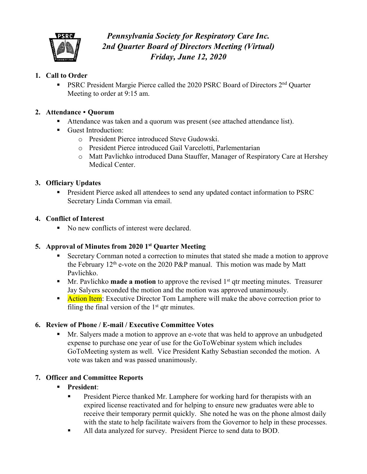

# *Pennsylvania Society for Respiratory Care Inc. 2nd Quarter Board of Directors Meeting (Virtual) Friday, June 12, 2020*

## **1. Call to Order**

■ PSRC President Margie Pierce called the 2020 PSRC Board of Directors 2<sup>nd</sup> Quarter Meeting to order at 9:15 am.

## **2. Attendance** • **Quorum**

- Attendance was taken and a quorum was present (see attached attendance list).
- Guest Introduction:
	- o President Pierce introduced Steve Gudowski.
	- o President Pierce introduced Gail Varcelotti, Parlementarian
	- o Matt Pavlichko introduced Dana Stauffer, Manager of Respiratory Care at Hershey Medical Center.

## **3. Officiary Updates**

• President Pierce asked all attendees to send any updated contact information to PSRC Secretary Linda Cornman via email.

## **4. Conflict of Interest**

■ No new conflicts of interest were declared.

# **5. Approval of Minutes from 2020 1st Quarter Meeting**

- § Secretary Cornman noted a correction to minutes that stated she made a motion to approve the February  $12<sup>th</sup>$  e-vote on the 2020 P&P manual. This motion was made by Matt Pavlichko.
- Mr. Pavlichko **made a motion** to approve the revised 1<sup>st</sup> qtr meeting minutes. Treasurer Jay Salyers seconded the motion and the motion was approved unanimously.
- Action Item: Executive Director Tom Lamphere will make the above correction prior to filing the final version of the  $1<sup>st</sup>$  qtr minutes.

## **6. Review of Phone / E-mail / Executive Committee Votes**

Mr. Salyers made a motion to approve an e-vote that was held to approve an unbudgeted expense to purchase one year of use for the GoToWebinar system which includes GoToMeeting system as well. Vice President Kathy Sebastian seconded the motion. A vote was taken and was passed unanimously.

## **7. Officer and Committee Reports**

## § **President**:

- **President Pierce thanked Mr. Lamphere for working hard for therapists with an** expired license reactivated and for helping to ensure new graduates were able to receive their temporary permit quickly. She noted he was on the phone almost daily with the state to help facilitate waivers from the Governor to help in these processes.
- All data analyzed for survey. President Pierce to send data to BOD.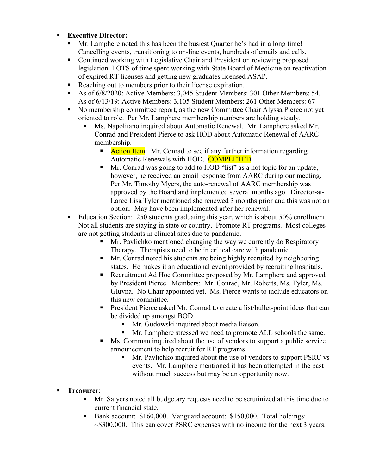- § **Executive Director:** 
	- § Mr. Lamphere noted this has been the busiest Quarter he's had in a long time! Cancelling events, transitioning to on-line events, hundreds of emails and calls.
	- Continued working with Legislative Chair and President on reviewing proposed legislation. LOTS of time spent working with State Board of Medicine on reactivation of expired RT licenses and getting new graduates licensed ASAP.
	- Reaching out to members prior to their license expiration.
	- § As of 6/8/2020: Active Members: 3,045 Student Members: 301 Other Members: 54. As of 6/13/19: Active Members: 3,105 Student Members: 261 Other Members: 67
	- § No membership committee report, as the new Committee Chair Alyssa Pierce not yet oriented to role. Per Mr. Lamphere membership numbers are holding steady.
		- § Ms. Napolitano inquired about Automatic Renewal. Mr. Lamphere asked Mr. Conrad and President Pierce to ask HOD about Automatic Renewal of AARC membership.
			- **Action Item:** Mr. Conrad to see if any further information regarding Automatic Renewals with HOD. **COMPLETED.**
			- Mr. Conrad was going to add to HOD "list" as a hot topic for an update, however, he received an email response from AARC during our meeting. Per Mr. Timothy Myers, the auto-renewal of AARC membership was approved by the Board and implemented several months ago. Director-at-Large Lisa Tyler mentioned she renewed 3 months prior and this was not an option. May have been implemented after her renewal.
	- Education Section: 250 students graduating this year, which is about 50% enrollment. Not all students are staying in state or country. Promote RT programs. Most colleges are not getting students in clinical sites due to pandemic.
		- Mr. Pavlichko mentioned changing the way we currently do Respiratory Therapy. Therapists need to be in critical care with pandemic.
		- Mr. Conrad noted his students are being highly recruited by neighboring states. He makes it an educational event provided by recruiting hospitals.
		- Recruitment Ad Hoc Committee proposed by Mr. Lamphere and approved by President Pierce. Members: Mr. Conrad, Mr. Roberts, Ms. Tyler, Ms. Gluvna. No Chair appointed yet. Ms. Pierce wants to include educators on this new committee.
		- President Pierce asked Mr. Conrad to create a list/bullet-point ideas that can be divided up amongst BOD.
			- § Mr. Gudowski inquired about media liaison.
			- Mr. Lamphere stressed we need to promote ALL schools the same.
		- Ms. Cornman inquired about the use of vendors to support a public service announcement to help recruit for RT programs.
			- § Mr. Pavlichko inquired about the use of vendors to support PSRC vs events. Mr. Lamphere mentioned it has been attempted in the past without much success but may be an opportunity now.

# § **Treasurer**:

- § Mr. Salyers noted all budgetary requests need to be scrutinized at this time due to current financial state.
- Bank account: \$160,000. Vanguard account: \$150,000. Total holdings:  $\sim$ \$300,000. This can cover PSRC expenses with no income for the next 3 years.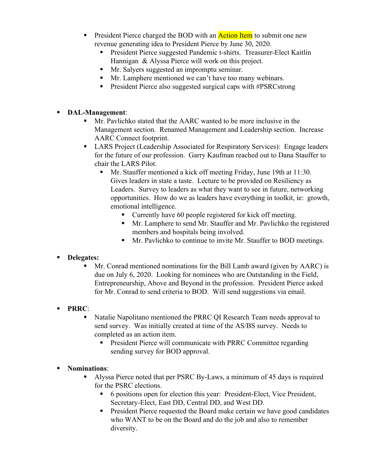- **•** President Pierce charged the BOD with an **Action Item** to submit one new revenue generating idea to President Pierce by June 30, 2020.
	- President Pierce suggested Pandemic t-shirts. Treasurer-Elect Kaitlin Hannigan & Alyssa Pierce will work on this project.
	- § Mr. Salyers suggested an impromptu seminar.
	- Mr. Lamphere mentioned we can't have too many webinars.
	- President Pierce also suggested surgical caps with #PSRCstrong

## § **DAL-Management**:

- § Mr. Pavlichko stated that the AARC wanted to be more inclusive in the Management section. Renamed Management and Leadership section. Increase AARC Connect footprint.
- § LARS Project (Leadership Associated for Respiratory Services): Engage leaders for the future of our profession. Garry Kaufman reached out to Dana Stauffer to chair the LARS Pilot.
	- Mr. Stauffer mentioned a kick off meeting Friday, June 19th at 11:30. Gives leaders in state a taste. Lecture to be provided on Resiliency as Leaders. Survey to leaders as what they want to see in future, networking opportunities. How do we as leaders have everything in toolkit, ie: growth, emotional intelligence.
		- Currently have 60 people registered for kick off meeting.
		- Mr. Lamphere to send Mr. Stauffer and Mr. Pavlichko the registered members and hospitals being involved.
		- Mr. Pavlichko to continue to invite Mr. Stauffer to BOD meetings.

# § **Delegates:**

§ Mr. Conrad mentioned nominations for the Bill Lamb award (given by AARC) is due on July 6, 2020. Looking for nominees who are Outstanding in the Field, Entrepreneurship, Above and Beyond in the profession. President Pierce asked for Mr. Conrad to send criteria to BOD. Will send suggestions via email.

# § **PRRC**:

- Natalie Napolitano mentioned the PRRC QI Research Team needs approval to send survey. Was initially created at time of the AS/BS survey. Needs to completed as an action item.
	- President Pierce will communicate with PRRC Committee regarding sending survey for BOD approval.

## § **Nominations**:

- § Alyssa Pierce noted that per PSRC By-Laws, a minimum of 45 days is required for the PSRC elections.
	- 6 positions open for election this year: President-Elect, Vice President, Secretary-Elect, East DD, Central DD, and West DD.
	- President Pierce requested the Board make certain we have good candidates who WANT to be on the Board and do the job and also to remember diversity.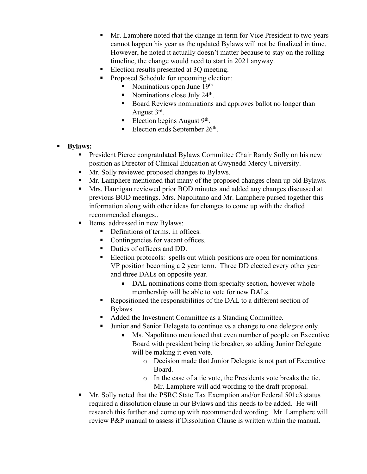- Mr. Lamphere noted that the change in term for Vice President to two years cannot happen his year as the updated Bylaws will not be finalized in time. However, he noted it actually doesn't matter because to stay on the rolling timeline, the change would need to start in 2021 anyway.
- Election results presented at 30 meeting.
- Proposed Schedule for upcoming election:
	- Nominations open June 19th
	- Nominations close July  $24<sup>th</sup>$ .
	- Board Reviews nominations and approves ballot no longer than August 3rd.
	- Election begins August  $9<sup>th</sup>$ .
	- Election ends September 26<sup>th</sup>.

# § **Bylaws:**

- § President Pierce congratulated Bylaws Committee Chair Randy Solly on his new position as Director of Clinical Education at Gwynedd-Mercy University.
- § Mr. Solly reviewed proposed changes to Bylaws.
- § Mr. Lamphere mentioned that many of the proposed changes clean up old Bylaws.
- § Mrs. Hannigan reviewed prior BOD minutes and added any changes discussed at previous BOD meetings. Mrs. Napolitano and Mr. Lamphere pursed together this information along with other ideas for changes to come up with the drafted recommended changes..
- Items. addressed in new Bylaws:
	- Definitions of terms. in offices.
	- Contingencies for vacant offices.
	- § Duties of officers and DD.
	- Election protocols: spells out which positions are open for nominations. VP position becoming a 2 year term. Three DD elected every other year and three DALs on opposite year.
		- DAL nominations come from specialty section, however whole membership will be able to vote for new DALs.
	- Repositioned the responsibilities of the DAL to a different section of Bylaws.
	- Added the Investment Committee as a Standing Committee.
	- Junior and Senior Delegate to continue vs a change to one delegate only.
		- Ms. Napolitano mentioned that even number of people on Executive Board with president being tie breaker, so adding Junior Delegate will be making it even vote.
			- o Decision made that Junior Delegate is not part of Executive Board.
			- o In the case of a tie vote, the Presidents vote breaks the tie. Mr. Lamphere will add wording to the draft proposal.
- § Mr. Solly noted that the PSRC State Tax Exemption and/or Federal 501c3 status required a dissolution clause in our Bylaws and this needs to be added. He will research this further and come up with recommended wording. Mr. Lamphere will review P&P manual to assess if Dissolution Clause is written within the manual.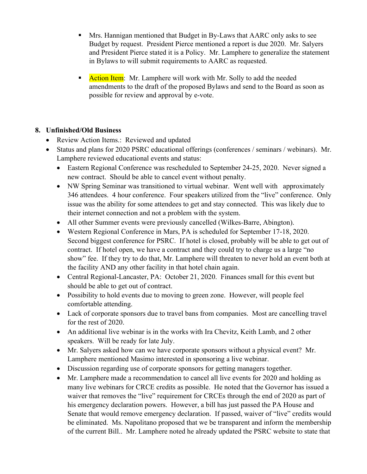- § Mrs. Hannigan mentioned that Budget in By-Laws that AARC only asks to see Budget by request. President Pierce mentioned a report is due 2020. Mr. Salyers and President Pierce stated it is a Policy. Mr. Lamphere to generalize the statement in Bylaws to will submit requirements to AARC as requested.
- **Action Item:** Mr. Lamphere will work with Mr. Solly to add the needed amendments to the draft of the proposed Bylaws and send to the Board as soon as possible for review and approval by e-vote.

## **8. Unfinished/Old Business**

- Review Action Items.: Reviewed and updated
- Status and plans for 2020 PSRC educational offerings (conferences / seminars / webinars). Mr. Lamphere reviewed educational events and status:
	- Eastern Regional Conference was rescheduled to September 24-25, 2020. Never signed a new contract. Should be able to cancel event without penalty.
	- NW Spring Seminar was transitioned to virtual webinar. Went well with approximately 346 attendees. 4 hour conference. Four speakers utilized from the "live" conference. Only issue was the ability for some attendees to get and stay connected. This was likely due to their internet connection and not a problem with the system.
	- All other Summer events were previously cancelled (Wilkes-Barre, Abington).
	- Western Regional Conference in Mars, PA is scheduled for September 17-18, 2020. Second biggest conference for PSRC. If hotel is closed, probably will be able to get out of contract. If hotel open, we have a contract and they could try to charge us a large "no show" fee. If they try to do that, Mr. Lamphere will threaten to never hold an event both at the facility AND any other facility in that hotel chain again.
	- Central Regional-Lancaster, PA: October 21, 2020. Finances small for this event but should be able to get out of contract.
	- Possibility to hold events due to moving to green zone. However, will people feel comfortable attending.
	- Lack of corporate sponsors due to travel bans from companies. Most are cancelling travel for the rest of 2020.
	- An additional live webinar is in the works with Ira Chevitz, Keith Lamb, and 2 other speakers. Will be ready for late July.
	- Mr. Salyers asked how can we have corporate sponsors without a physical event? Mr. Lamphere mentioned Masimo interested in sponsoring a live webinar.
	- Discussion regarding use of corporate sponsors for getting managers together.
	- Mr. Lamphere made a recommendation to cancel all live events for 2020 and holding as many live webinars for CRCE credits as possible. He noted that the Governor has issued a waiver that removes the "live" requirement for CRCEs through the end of 2020 as part of his emergency declaration powers. However, a bill has just passed the PA House and Senate that would remove emergency declaration. If passed, waiver of "live" credits would be eliminated. Ms. Napolitano proposed that we be transparent and inform the membership of the current Bill.. Mr. Lamphere noted he already updated the PSRC website to state that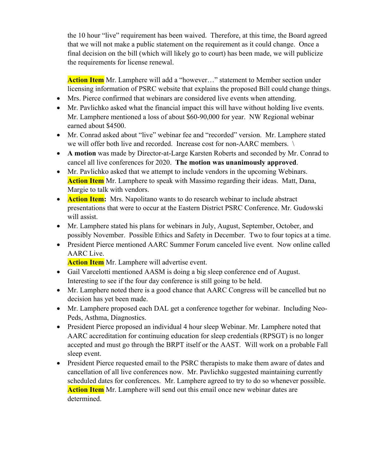the 10 hour "live" requirement has been waived. Therefore, at this time, the Board agreed that we will not make a public statement on the requirement as it could change. Once a final decision on the bill (which will likely go to court) has been made, we will publicize the requirements for license renewal.

**Action Item** Mr. Lamphere will add a "however…" statement to Member section under licensing information of PSRC website that explains the proposed Bill could change things.

- Mrs. Pierce confirmed that webinars are considered live events when attending.
- Mr. Pavlichko asked what the financial impact this will have without holding live events. Mr. Lamphere mentioned a loss of about \$60-90,000 for year. NW Regional webinar earned about \$4500.
- Mr. Conrad asked about "live" webinar fee and "recorded" version. Mr. Lamphere stated we will offer both live and recorded. Increase cost for non-AARC members. \
- **A motion** was made by Director-at-Large Karsten Roberts and seconded by Mr. Conrad to cancel all live conferences for 2020. **The motion was unanimously approved**.
- Mr. Pavlichko asked that we attempt to include vendors in the upcoming Webinars. **Action Item** Mr. Lamphere to speak with Massimo regarding their ideas. Matt, Dana, Margie to talk with vendors.
- **Action Item:** Mrs. Napolitano wants to do research webinar to include abstract presentations that were to occur at the Eastern District PSRC Conference. Mr. Gudowski will assist.
- Mr. Lamphere stated his plans for webinars in July, August, September, October, and possibly November. Possible Ethics and Safety in December. Two to four topics at a time.
- President Pierce mentioned AARC Summer Forum canceled live event. Now online called AARC Live.

**Action Item** Mr. Lamphere will advertise event.

- Gail Varcelotti mentioned AASM is doing a big sleep conference end of August. Interesting to see if the four day conference is still going to be held.
- Mr. Lamphere noted there is a good chance that AARC Congress will be cancelled but no decision has yet been made.
- Mr. Lamphere proposed each DAL get a conference together for webinar. Including Neo-Peds, Asthma, Diagnostics.
- President Pierce proposed an individual 4 hour sleep Webinar. Mr. Lamphere noted that AARC accreditation for continuing education for sleep credentials (RPSGT) is no longer accepted and must go through the BRPT itself or the AAST. Will work on a probable Fall sleep event.
- President Pierce requested email to the PSRC therapists to make them aware of dates and cancellation of all live conferences now. Mr. Pavlichko suggested maintaining currently scheduled dates for conferences. Mr. Lamphere agreed to try to do so whenever possible. **Action Item** Mr. Lamphere will send out this email once new webinar dates are determined.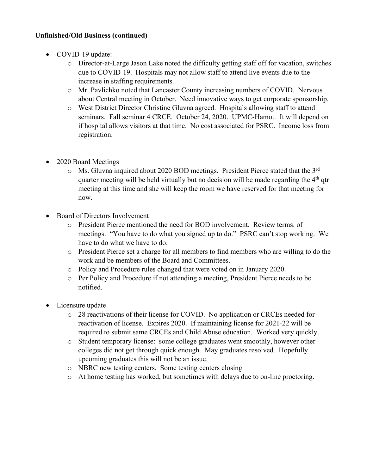#### **Unfinished/Old Business (continued)**

- COVID-19 update:
	- $\circ$  Director-at-Large Jason Lake noted the difficulty getting staff off for vacation, switches due to COVID-19. Hospitals may not allow staff to attend live events due to the increase in staffing requirements.
	- o Mr. Pavlichko noted that Lancaster County increasing numbers of COVID. Nervous about Central meeting in October. Need innovative ways to get corporate sponsorship.
	- o West District Director Christine Gluvna agreed. Hospitals allowing staff to attend seminars. Fall seminar 4 CRCE. October 24, 2020. UPMC-Hamot. It will depend on if hospital allows visitors at that time. No cost associated for PSRC. Income loss from registration.
- 2020 Board Meetings
	- o Ms. Gluvna inquired about 2020 BOD meetings. President Pierce stated that the 3rd quarter meeting will be held virtually but no decision will be made regarding the  $4<sup>th</sup>$  qtr meeting at this time and she will keep the room we have reserved for that meeting for now.
- Board of Directors Involvement
	- o President Pierce mentioned the need for BOD involvement. Review terms. of meetings. "You have to do what you signed up to do." PSRC can't stop working. We have to do what we have to do.
	- o President Pierce set a charge for all members to find members who are willing to do the work and be members of the Board and Committees.
	- o Policy and Procedure rules changed that were voted on in January 2020.
	- o Per Policy and Procedure if not attending a meeting, President Pierce needs to be notified.
- Licensure update
	- o 28 reactivations of their license for COVID. No application or CRCEs needed for reactivation of license. Expires 2020. If maintaining license for 2021-22 will be required to submit same CRCEs and Child Abuse education. Worked very quickly.
	- o Student temporary license: some college graduates went smoothly, however other colleges did not get through quick enough. May graduates resolved. Hopefully upcoming graduates this will not be an issue.
	- o NBRC new testing centers. Some testing centers closing
	- o At home testing has worked, but sometimes with delays due to on-line proctoring.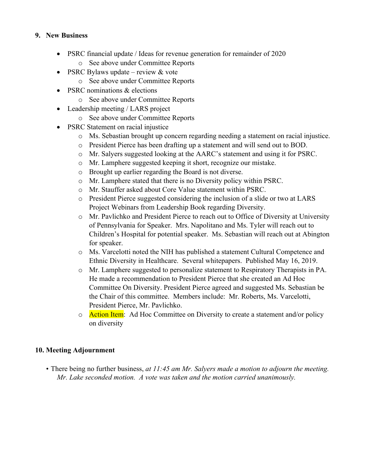## **9. New Business**

- PSRC financial update / Ideas for revenue generation for remainder of 2020
	- o See above under Committee Reports
- PSRC Bylaws update review  $&$  vote
	- o See above under Committee Reports
- PSRC nominations & elections
	- o See above under Committee Reports
- Leadership meeting / LARS project
	- o See above under Committee Reports
- PSRC Statement on racial injustice
	- o Ms. Sebastian brought up concern regarding needing a statement on racial injustice.
	- o President Pierce has been drafting up a statement and will send out to BOD.
	- o Mr. Salyers suggested looking at the AARC's statement and using it for PSRC.
	- o Mr. Lamphere suggested keeping it short, recognize our mistake.
	- o Brought up earlier regarding the Board is not diverse.
	- o Mr. Lamphere stated that there is no Diversity policy within PSRC.
	- o Mr. Stauffer asked about Core Value statement within PSRC.
	- o President Pierce suggested considering the inclusion of a slide or two at LARS Project Webinars from Leadership Book regarding Diversity.
	- o Mr. Pavlichko and President Pierce to reach out to Office of Diversity at University of Pennsylvania for Speaker. Mrs. Napolitano and Ms. Tyler will reach out to Children's Hospital for potential speaker. Ms. Sebastian will reach out at Abington for speaker.
	- o Ms. Varcelotti noted the NIH has published a statement Cultural Competence and Ethnic Diversity in Healthcare. Several whitepapers. Published May 16, 2019.
	- o Mr. Lamphere suggested to personalize statement to Respiratory Therapists in PA. He made a recommendation to President Pierce that she created an Ad Hoc Committee On Diversity. President Pierce agreed and suggested Ms. Sebastian be the Chair of this committee. Members include: Mr. Roberts, Ms. Varcelotti, President Pierce, Mr. Pavlichko.
	- o Action Item: Ad Hoc Committee on Diversity to create a statement and/or policy on diversity

# **10. Meeting Adjournment**

• There being no further business, *at 11:45 am Mr. Salyers made a motion to adjourn the meeting. Mr. Lake seconded motion. A vote was taken and the motion carried unanimously.*